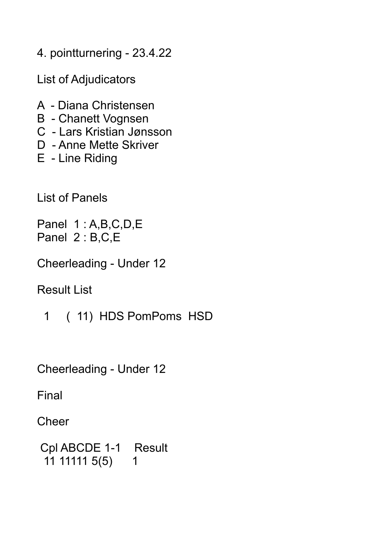4. pointturnering - 23.4.22

List of Adjudicators

- A Diana Christensen
- B Chanett Vognsen
- C Lars Kristian Jønsson
- D Anne Mette Skriver
- E Line Riding

List of Panels

Panel 1:A,B,C,D,E Panel 2 : B,C,E

Cheerleading - Under 12

Result List

1 ( 11) HDS PomPoms HSD

Cheerleading - Under 12

Final

**Cheer** 

```
 Cpl ABCDE 1-1 Result
11 11111 5(5) 1
```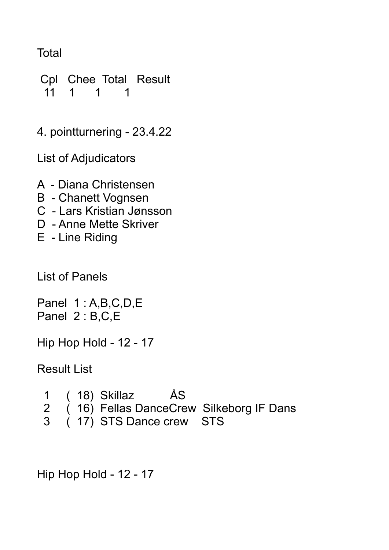Total

 Cpl Chee Total Result 11 1 1 1

4. pointturnering - 23.4.22

List of Adjudicators

- A Diana Christensen
- B Chanett Vognsen
- C Lars Kristian Jønsson
- D Anne Mette Skriver
- E Line Riding

List of Panels

Panel 1 : A,B,C,D,E Panel 2 : B,C,E

Hip Hop Hold - 12 - 17

Result List

- 1 ( 18) Skillaz ÅS
- 2 (16) Fellas DanceCrew Silkeborg IF Dans
- 3 ( 17) STS Dance crew STS

Hip Hop Hold - 12 - 17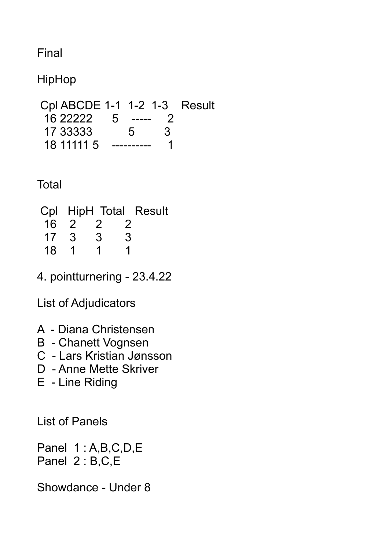Final

HipHop

 Cpl ABCDE 1-1 1-2 1-3 Result 16 22222 5 ----- 2 17 33333 5 3 18 11111 5 ---------- 1

**Total** 

|    |                         |   |                | Cpl HipH Total Result |
|----|-------------------------|---|----------------|-----------------------|
|    | $16 \quad 2 \quad 2$    |   | $\overline{2}$ |                       |
| 17 | - 3                     | 3 | 3              |                       |
| 18 | $\overline{\mathbf{1}}$ |   |                |                       |

4. pointturnering - 23.4.22

List of Adjudicators

- A Diana Christensen
- B Chanett Vognsen
- C Lars Kristian Jønsson
- D Anne Mette Skriver
- E Line Riding

List of Panels

Panel 1:A,B,C,D,E Panel 2 : B,C,E

Showdance - Under 8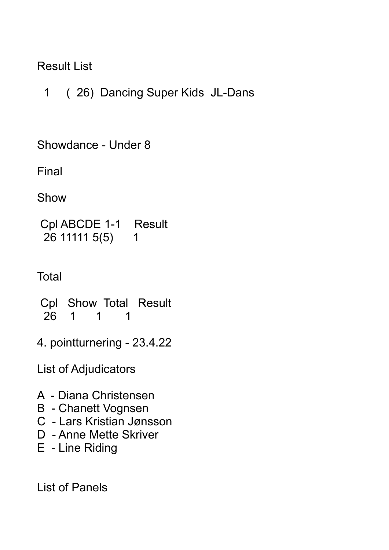## Result List

1 ( 26) Dancing Super Kids JL-Dans

Showdance - Under 8

Final

Show

```
 Cpl ABCDE 1-1 Result
26 11111 5(5) 1
```
**Total** 

 Cpl Show Total Result 26 1 1 1

4. pointturnering - 23.4.22

List of Adjudicators

- A Diana Christensen
- B Chanett Vognsen
- C Lars Kristian Jønsson
- D Anne Mette Skriver
- E Line Riding

List of Panels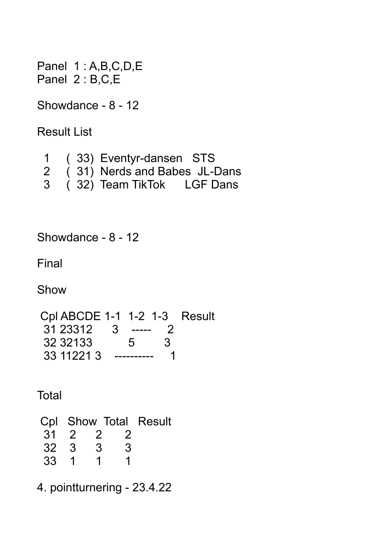Panel 1:A,B,C,D,E Panel 2 : B,C,E

Showdance - 8 - 12

Result List

|               |  | (33) Eventyr-dansen STS      |  |
|---------------|--|------------------------------|--|
| 2             |  | (31) Nerds and Babes JL-Dans |  |
| $\mathcal{S}$ |  | (32) Team TikTok LGF Dans    |  |

Showdance - 8 - 12

Final

Show

 Cpl ABCDE 1-1 1-2 1-3 Result 31 23312 3 ----- 2 32 32133 5 3 33 11221 3 ---------- 1

**Total** 

|      |               |          | Cpl Show Total Result |
|------|---------------|----------|-----------------------|
|      |               | 31 2 2 2 |                       |
| 32 3 | $\mathcal{S}$ | 3        |                       |
| 33 1 | 1             |          |                       |

4. pointturnering - 23.4.22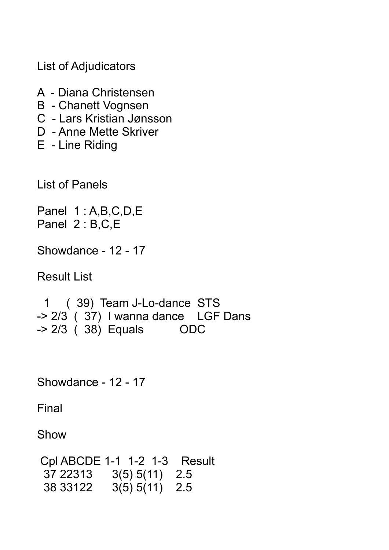List of Adjudicators

- A Diana Christensen
- B Chanett Vognsen
- C Lars Kristian Jønsson
- D Anne Mette Skriver
- E Line Riding

List of Panels

Panel 1 : A,B,C,D,E Panel 2 : B,C,E

Showdance - 12 - 17

Result List

 1 ( 39) Team J-Lo-dance STS -> 2/3 ( 37) I wanna dance LGF Dans  $-$  2/3 (38) Equals ODC

Showdance - 12 - 17

Final

Show

 Cpl ABCDE 1-1 1-2 1-3 Result 37 22313 3(5) 5(11) 2.5 38 33122 3(5) 5(11) 2.5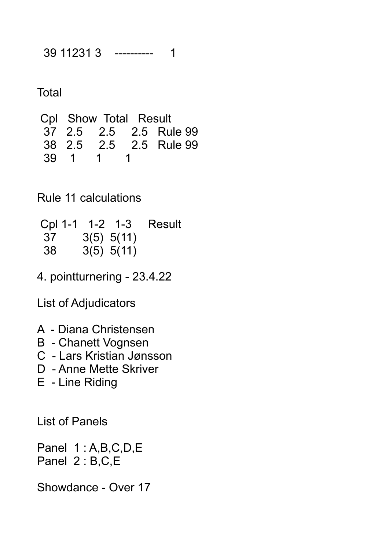39 11231 3 ---------- 1

**Total** 

 Cpl Show Total Result 37 2.5 2.5 2.5 Rule 99 38 2.5 2.5 2.5 Rule 99 39 1 1 1

Rule 11 calculations

 Cpl 1-1 1-2 1-3 Result 37 3(5) 5(11) 38 3(5) 5(11)

4. pointturnering - 23.4.22

List of Adjudicators

- A Diana Christensen
- B Chanett Vognsen
- C Lars Kristian Jønsson
- D Anne Mette Skriver
- E Line Riding

List of Panels

Panel 1 : A,B,C,D,E Panel 2 : B,C,E

Showdance - Over 17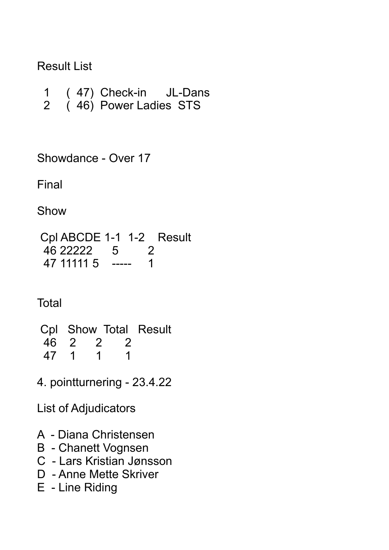### Result List

- 1 ( 47) Check-in JL-Dans 2 (46) Power Ladies STS
- 

Showdance - Over 17

Final

Show

 Cpl ABCDE 1-1 1-2 Result 46 22222 5 2 47 11111 5 ----- 1

**Total** 

 Cpl Show Total Result 46 2 2 2<br>47 1 1 1 47 1 1 1

4. pointturnering - 23.4.22

List of Adjudicators

- A Diana Christensen
- B Chanett Vognsen
- C Lars Kristian Jønsson
- D Anne Mette Skriver
- E Line Riding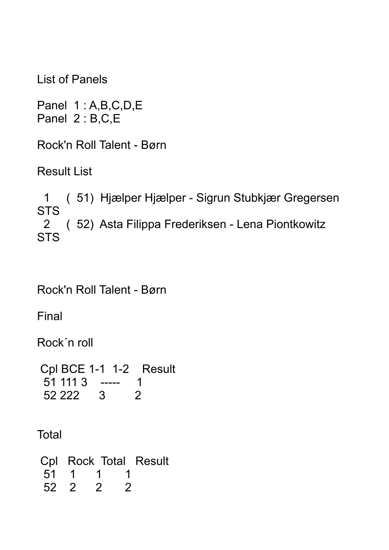List of Panels

Panel 1 : A,B,C,D,E Panel 2 : B,C,E

Rock'n Roll Talent - Børn

Result List

 1 ( 51) Hjælper Hjælper - Sigrun Stubkjær Gregersen **STS**  2 ( 52) Asta Filippa Frederiksen - Lena Piontkowitz **STS** 

Rock'n Roll Talent - Børn

Final

Rock´n roll

 Cpl BCE 1-1 1-2 Result 51 111 3 ----- 1 52 222 3 2

**Total** 

 Cpl Rock Total Result 51 1 1 1 52 2 2 2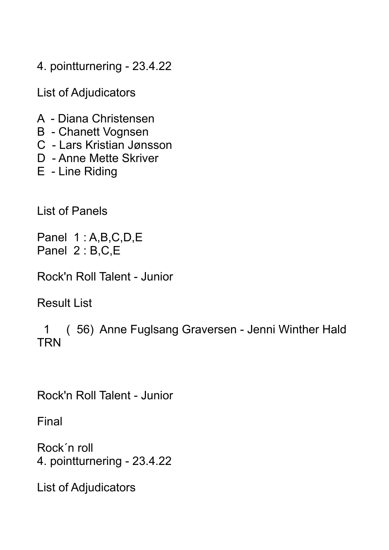4. pointturnering - 23.4.22

List of Adjudicators

- A Diana Christensen
- B Chanett Vognsen
- C Lars Kristian Jønsson
- D Anne Mette Skriver
- E Line Riding

List of Panels

Panel 1 : A,B,C,D,E Panel 2 : B,C,E

Rock'n Roll Talent - Junior

Result List

 1 ( 56) Anne Fuglsang Graversen - Jenni Winther Hald **TRN** 

Rock'n Roll Talent - Junior

Final

Rock´n roll 4. pointturnering - 23.4.22

List of Adjudicators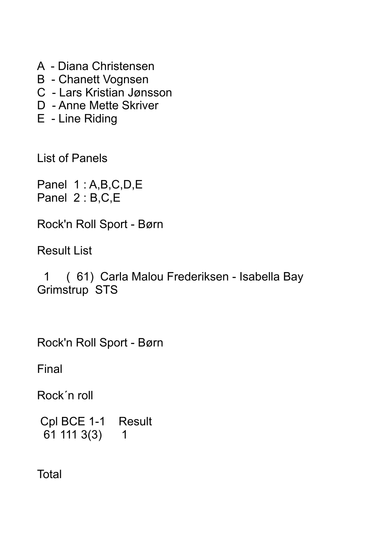- A Diana Christensen
- B Chanett Vognsen
- C Lars Kristian Jønsson
- D Anne Mette Skriver
- E Line Riding

List of Panels

Panel 1:A,B,C,D,E Panel 2 : B,C,E

Rock'n Roll Sport - Børn

Result List

 1 ( 61) Carla Malou Frederiksen - Isabella Bay Grimstrup STS

Rock'n Roll Sport - Børn

Final

Rock´n roll

 Cpl BCE 1-1 Result 61 111 3(3) 1

**Total**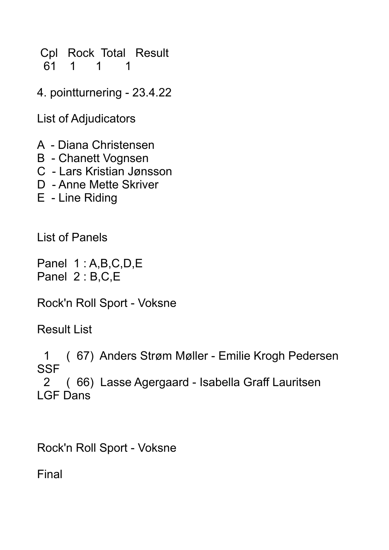Cpl Rock Total Result 61 1 1 1

4. pointturnering - 23.4.22

List of Adjudicators

- A Diana Christensen
- B Chanett Vognsen
- C Lars Kristian Jønsson
- D Anne Mette Skriver
- E Line Riding

List of Panels

Panel 1 : A,B,C,D,E Panel 2 : B,C,E

Rock'n Roll Sport - Voksne

Result List

 1 ( 67) Anders Strøm Møller - Emilie Krogh Pedersen **SSF**  2 ( 66) Lasse Agergaard - Isabella Graff Lauritsen LGF Dans

Rock'n Roll Sport - Voksne

Final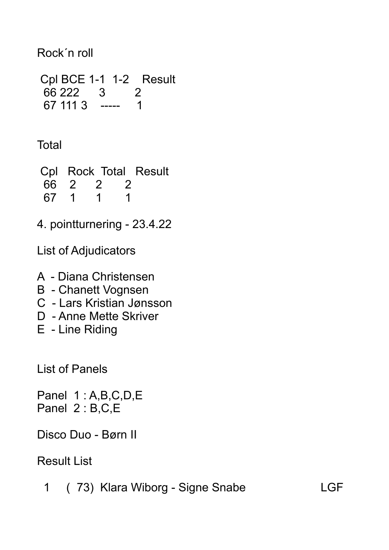## Rock´n roll

```
 Cpl BCE 1-1 1-2 Result
66 222 3 2 
67 111 3 ----- 1
```
**Total** 

 Cpl Rock Total Result 66 2 2 2 67 1 1 1

4. pointturnering - 23.4.22

List of Adjudicators

- A Diana Christensen
- B Chanett Vognsen
- C Lars Kristian Jønsson
- D Anne Mette Skriver
- E Line Riding

List of Panels

Panel 1 : A,B,C,D,E Panel 2 : B,C,E

Disco Duo - Børn II

# Result List

1 ( 73) Klara Wiborg - Signe Snabe LGF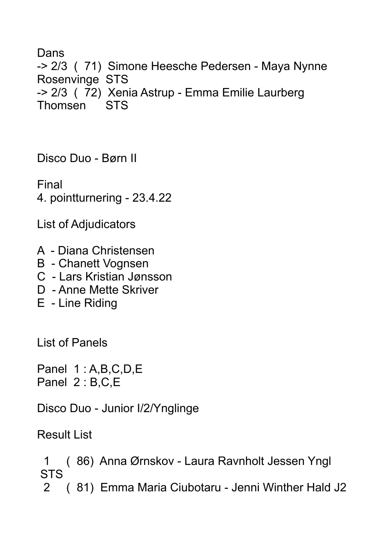Dans -> 2/3 ( 71) Simone Heesche Pedersen - Maya Nynne Rosenvinge STS -> 2/3 ( 72) Xenia Astrup - Emma Emilie Laurberg Thomsen STS

Disco Duo - Børn II

Final 4. pointturnering - 23.4.22

List of Adjudicators

- A Diana Christensen
- B Chanett Vognsen
- C Lars Kristian Jønsson
- D Anne Mette Skriver
- E Line Riding

List of Panels

Panel 1:A,B,C,D,E Panel 2 : B,C,E

Disco Duo - Junior I/2/Ynglinge

Result List

 1 ( 86) Anna Ørnskov - Laura Ravnholt Jessen Yngl STS

2 ( 81) Emma Maria Ciubotaru - Jenni Winther Hald J2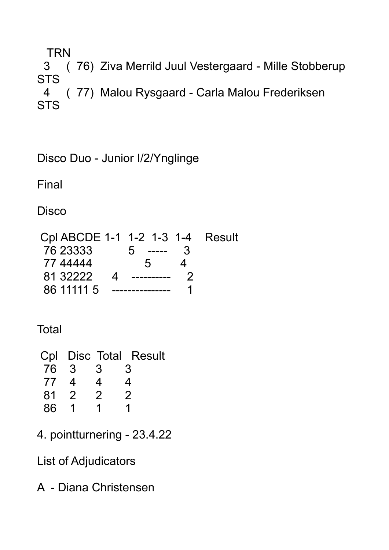**TRN**  3 ( 76) Ziva Merrild Juul Vestergaard - Mille Stobberup **STS**  4 ( 77) Malou Rysgaard - Carla Malou Frederiksen **STS** 

Disco Duo - Junior I/2/Ynglinge

Final

**Disco** 

| Cpl ABCDE 1-1 1-2 1-3 1-4 Result |           |               |  |
|----------------------------------|-----------|---------------|--|
| 76 23333                         | $5 - - -$ | $\mathcal{B}$ |  |
| 77 44444                         | $5 -$     |               |  |
| 81 32222<br>$\overline{A}$       |           |               |  |
| 86 11111 5                       |           |               |  |

**Total** 

| Cpl Disc Total Result |
|-----------------------|
| 3                     |
| 4                     |
| 2                     |
|                       |
|                       |

4. pointturnering - 23.4.22

List of Adjudicators

A - Diana Christensen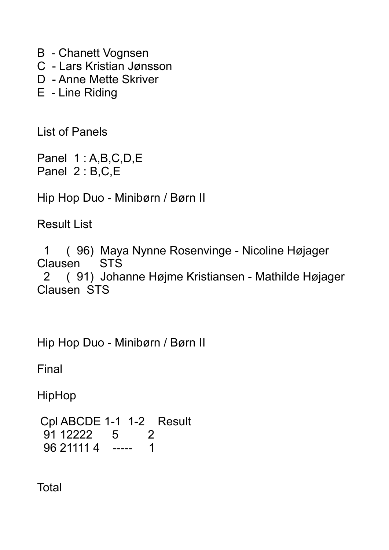B - Chanett Vognsen C - Lars Kristian Jønsson D - Anne Mette Skriver E - Line Riding

List of Panels

Panel 1 : A,B,C,D,E Panel 2 : B,C,E

Hip Hop Duo - Minibørn / Børn II

Result List

 1 ( 96) Maya Nynne Rosenvinge - Nicoline Højager Clausen STS 2 ( 91) Johanne Højme Kristiansen - Mathilde Højager Clausen STS

Hip Hop Duo - Minibørn / Børn II

Final

**HipHop** 

 Cpl ABCDE 1-1 1-2 Result 91 12222 5 2 96 21111 4 ----- 1

**Total**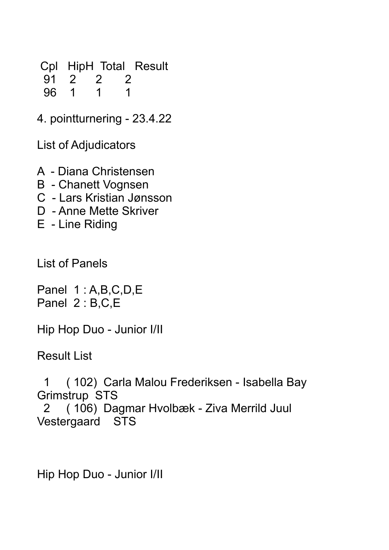Cpl HipH Total Result 91 2 2 2 96 1 1 1

4. pointturnering - 23.4.22

List of Adjudicators

A - Diana Christensen

- B Chanett Vognsen
- C Lars Kristian Jønsson
- D Anne Mette Skriver
- E Line Riding

List of Panels

Panel 1 : A,B,C,D,E Panel 2 : B,C,E

Hip Hop Duo - Junior I/II

Result List

 1 ( 102) Carla Malou Frederiksen - Isabella Bay Grimstrup STS

 2 ( 106) Dagmar Hvolbæk - Ziva Merrild Juul Vestergaard STS

Hip Hop Duo - Junior I/II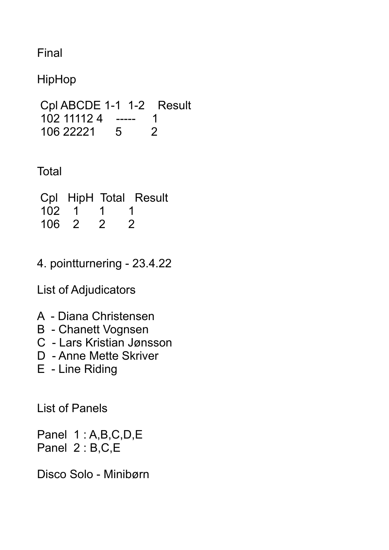Final

HipHop

```
 Cpl ABCDE 1-1 1-2 Result
102 11112 4 ----- 1 
106 22221 5 2
```
Total

|       |           |                | Cpl HipH Total Result |
|-------|-----------|----------------|-----------------------|
|       | 102 1 1 1 |                |                       |
| 106 2 |           | $\overline{2}$ | $\overline{2}$        |

4. pointturnering - 23.4.22

List of Adjudicators

- A Diana Christensen
- B Chanett Vognsen
- C Lars Kristian Jønsson
- D Anne Mette Skriver
- E Line Riding

List of Panels

Panel 1 : A,B,C,D,E Panel 2 : B,C,E

Disco Solo - Minibørn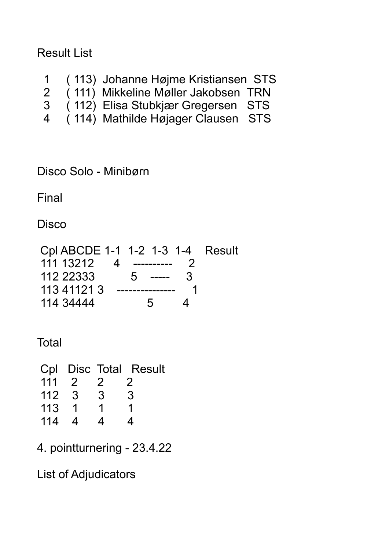#### Result List

- 1 ( 113) Johanne Højme Kristiansen STS
- 2 ( 111) Mikkeline Møller Jakobsen TRN
- 3 ( 112) Elisa Stubkjær Gregersen STS
- 4 ( 114) Mathilde Højager Clausen STS

Disco Solo - Minibørn

Final

**Disco** 

 Cpl ABCDE 1-1 1-2 1-3 1-4 Result 111 13212 4 ---------- 2 112 22333 5 ----- 3 113 41121 3 --------------- 1 114 34444 5 4

**Total** 

 Cpl Disc Total Result 111 2 2 2 112 3 3 3 113 1 1 1 114 4 4 4

4. pointturnering - 23.4.22

List of Adjudicators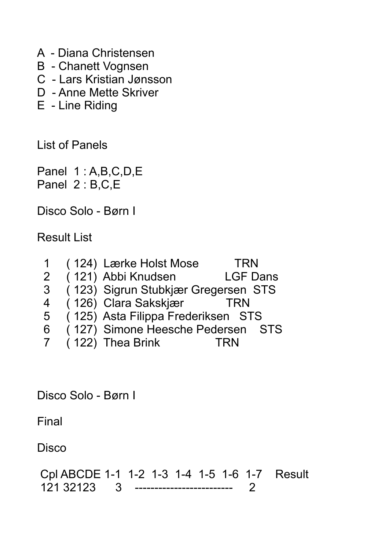- A Diana Christensen
- B Chanett Vognsen
- C Lars Kristian Jønsson
- D Anne Mette Skriver
- E Line Riding

List of Panels

Panel 1:A,B,C,D,E Panel 2 : B,C,E

Disco Solo - Børn I

Result List

|                | (124) Lærke Holst Mose              | <b>TRN</b>      |
|----------------|-------------------------------------|-----------------|
| $\overline{2}$ | (121) Abbi Knudsen                  | <b>LGF Dans</b> |
| 3              | (123) Sigrun Stubkjær Gregersen STS |                 |
| 4              | (126) Clara Sakskjær                | TRN             |
| 5              | (125) Asta Filippa Frederiksen STS  |                 |
| 6              | (127) Simone Heesche Pedersen STS   |                 |
| $\mathbf{7}$   | (122) Thea Brink                    | TRN             |

Disco Solo - Børn I

Final

**Disco** 

 Cpl ABCDE 1-1 1-2 1-3 1-4 1-5 1-6 1-7 Result 121 32123 3 ------------------------- 2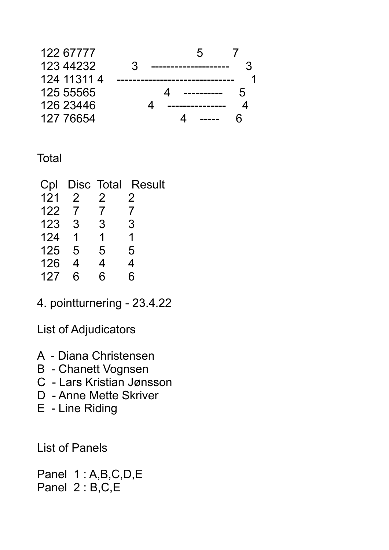

#### **Total**

| Cpl |               |   | Disc Total Result   |
|-----|---------------|---|---------------------|
| 121 | $\mathcal{P}$ | 2 | $\overline{2}$      |
| 122 | $\mathcal{I}$ | 7 | $\overline{\prime}$ |
| 123 | 3             | 3 | 3                   |
| 124 |               | 1 | 1                   |
| 125 | 5             | 5 | 5                   |
| 126 | 4             | 4 | 4                   |
| 127 | հ             | հ | հ                   |

4. pointturnering - 23.4.22

List of Adjudicators

- A Diana Christensen
- B Chanett Vognsen
- C Lars Kristian Jønsson
- D Anne Mette Skriver
- E Line Riding

List of Panels

Panel 1:A,B,C,D,E Panel 2 : B,C,E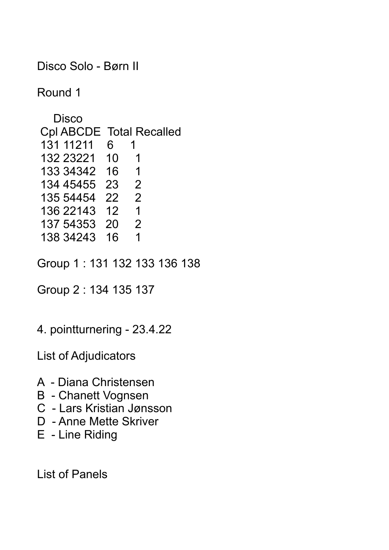Disco Solo - Børn II

Round 1

**Disco**  Cpl ABCDE Total Recalled 131 11211 6 1 132 23221 10 1 133 34342 16 1<br>134 45455 23 2 134 45455 23 2 135 54454 22 2 136 22143 12 1 137 54353 20 2 138 34243 16 1

Group 1 : 131 132 133 136 138

Group 2 : 134 135 137

4. pointturnering - 23.4.22

List of Adjudicators

- A Diana Christensen
- B Chanett Vognsen
- C Lars Kristian Jønsson
- D Anne Mette Skriver
- E Line Riding

List of Panels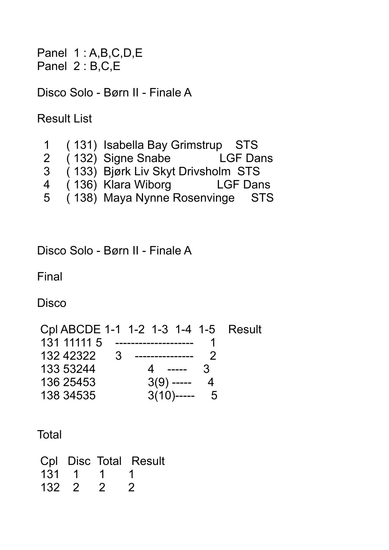Panel 1 : A,B,C,D,E Panel 2 : B,C,E

Disco Solo - Børn II - Finale A

Result List

|                | (131) Isabella Bay Grimstrup STS   |                 |
|----------------|------------------------------------|-----------------|
| $\overline{2}$ | (132) Signe Snabe                  | <b>LGF Dans</b> |
| 3              | (133) Bjørk Liv Skyt Drivsholm STS |                 |
| 4              | (136) Klara Wiborg                 | <b>LGF Dans</b> |
| 5              | (138) Maya Nynne Rosenvinge STS    |                 |

Disco Solo - Børn II - Finale A

Final

**Disco** 

 Cpl ABCDE 1-1 1-2 1-3 1-4 1-5 Result 131 11111 5 -------------------- 1 132 42322 3 --------------- 2 133 53244 4 ----- 3 136 25453 3(9) ----- 4 138 34535 3(10)----- 5

**Total** 

|       |         |                | Cpl Disc Total Result |
|-------|---------|----------------|-----------------------|
|       | 131 1 1 |                |                       |
| 132 2 |         | $\overline{2}$ | - 2                   |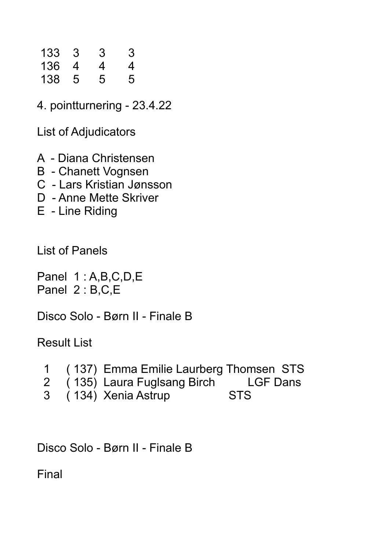| 133 | 3 | 3 | 3 |
|-----|---|---|---|
| 136 | 4 | 4 | 4 |
| 138 | 5 | 5 | 5 |

4. pointturnering - 23.4.22

List of Adjudicators

- A Diana Christensen
- B Chanett Vognsen
- C Lars Kristian Jønsson
- D Anne Mette Skriver
- E Line Riding

List of Panels

Panel 1 : A,B,C,D,E Panel 2 : B,C,E

Disco Solo - Børn II - Finale B

Result List

|  |  | (137) Emma Emilie Laurberg Thomsen STS |  |  |  |
|--|--|----------------------------------------|--|--|--|
|--|--|----------------------------------------|--|--|--|

- 2 ( 135) Laura Fuglsang Birch LGF Dans<br>3 ( 134) Xenia Astrup STS
- $( 134)$  Xenia Astrup

Disco Solo - Børn II - Finale B

Final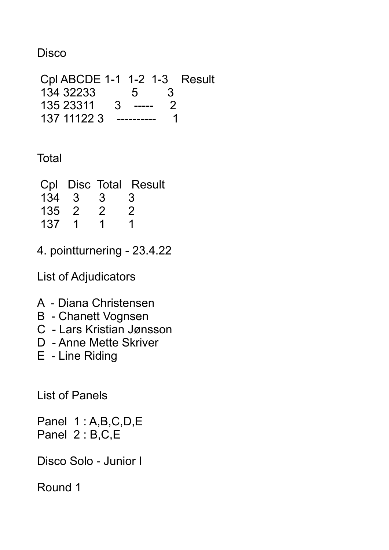#### **Disco**

 Cpl ABCDE 1-1 1-2 1-3 Result 134 32233 5 3 135 23311 3 ----- 2 137 11122 3 ---------- 1

## **Total**

|       |                          |                         | Cpl Disc Total Result |
|-------|--------------------------|-------------------------|-----------------------|
| 134 3 |                          | $\overline{\mathbf{3}}$ | 3                     |
| 135 2 |                          | $\mathcal{P}$           | $\mathcal{P}$         |
| 137   | $\overline{\phantom{1}}$ | 1                       |                       |

4. pointturnering - 23.4.22

List of Adjudicators

- A Diana Christensen
- B Chanett Vognsen
- C Lars Kristian Jønsson
- D Anne Mette Skriver
- E Line Riding

List of Panels

Panel 1 : A,B,C,D,E Panel 2 : B,C,E

Disco Solo - Junior I

Round 1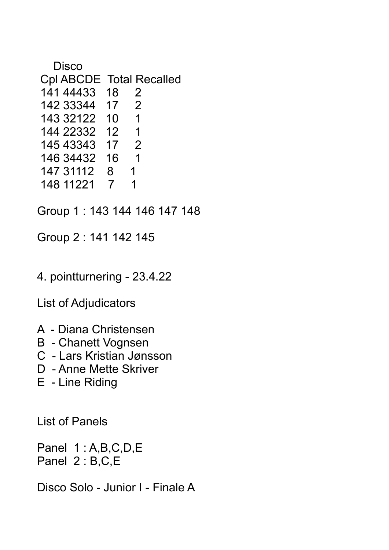- Disco Cpl ABCDE Total Recalled 141 44433 18 2 142 33344 17 2 143 32122 10 1 144 22332 12 1 145 43343 17 2 146 34432 16 1 147 31112 8 1 148 11221 7 1
- Group 1 : 143 144 146 147 148

Group 2 : 141 142 145

4. pointturnering - 23.4.22

List of Adjudicators

- A Diana Christensen
- B Chanett Vognsen
- C Lars Kristian Jønsson
- D Anne Mette Skriver
- E Line Riding

List of Panels

Panel 1 : A,B,C,D,E Panel 2 : B,C,E

Disco Solo - Junior I - Finale A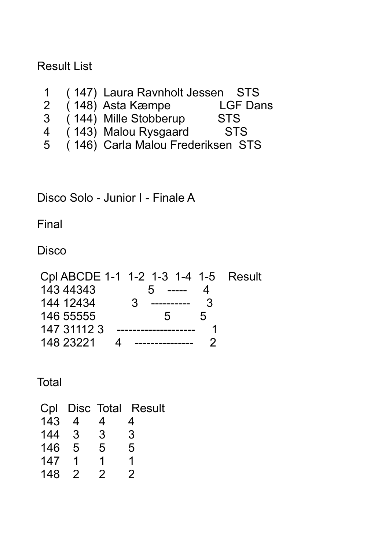Result List

- 1 (147) Laura Ravnholt Jessen STS<br>2 (148) Asta Kæmpe LGF Dans
- 2  $(\overline{)148}$  Asta Kæmpe
- 3 ( 144) Mille Stobberup STS
- 4 ( 143) Malou Rysgaard STS
- 5 ( 146) Carla Malou Frederiksen STS

Disco Solo - Junior I - Finale A

Final

**Disco** 

|             | Cpl ABCDE 1-1 1-2 1-3 1-4 1-5 Result |  |
|-------------|--------------------------------------|--|
| 143 44343   | ------<br>$\mathbf{b}$               |  |
| 144 12434   | 3<br>$\mathbf{3}$<br>----------      |  |
| 146 55555   | h.<br>$\mathbf{b}$                   |  |
| 147 31112 3 |                                      |  |
| 148 23221   |                                      |  |

Total

| Cpl |    |   | Disc Total Result |
|-----|----|---|-------------------|
| 143 | 4  | 4 | 4                 |
| 144 | -3 | 3 | 3                 |
| 146 | 5  | 5 | 5                 |
| 147 |    | 1 |                   |
| 148 |    | 2 | 2                 |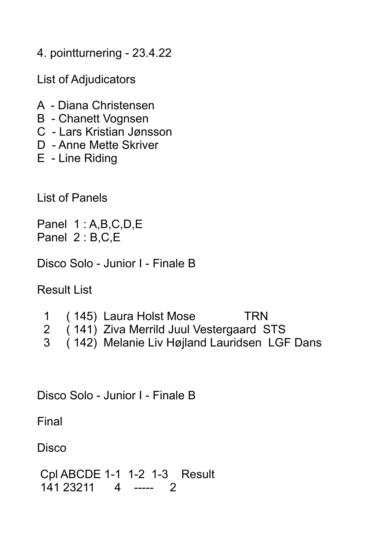4. pointturnering - 23.4.22

List of Adjudicators

- A Diana Christensen
- B Chanett Vognsen
- C Lars Kristian Jønsson
- D Anne Mette Skriver
- E Line Riding

List of Panels

Panel 1 : A,B,C,D,E Panel 2 : B,C,E

Disco Solo - Junior I - Finale B

Result List

1 (145) Laura Holst Mose TRN<br>2 (141) Ziva Merrild Juul Vestergaard S (141) Ziva Merrild Juul Vestergaard STS 3 ( 142) Melanie Liv Højland Lauridsen LGF Dans

Disco Solo - Junior I - Finale B

Final

Disco

 Cpl ABCDE 1-1 1-2 1-3 Result 141 23211 4 ----- 2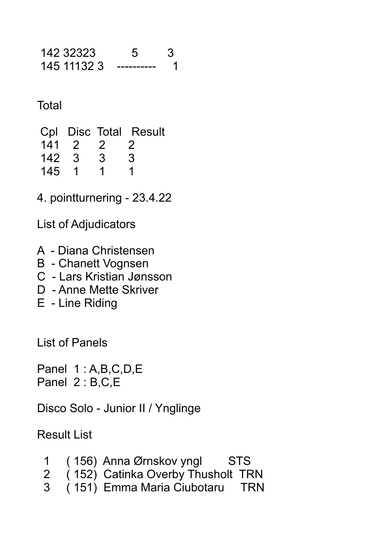| 142 32323   |  |
|-------------|--|
| 145 11132 3 |  |

#### **Total**

|       |         |   | Cpl Disc Total Result |
|-------|---------|---|-----------------------|
|       | 141 2 2 |   | $\overline{2}$        |
| 142 3 |         | 3 | 3                     |
| 145 1 |         |   |                       |

4. pointturnering - 23.4.22

List of Adjudicators

- A Diana Christensen
- B Chanett Vognsen
- C Lars Kristian Jønsson
- D Anne Mette Skriver
- E Line Riding

List of Panels

Panel 1 : A,B,C,D,E Panel 2 : B,C,E

Disco Solo - Junior II / Ynglinge

Result List

|  | (156) Anna Ørnskov yngl           | <b>STS</b> |
|--|-----------------------------------|------------|
|  | (152) Catinka Overby Thusholt TRN |            |

3 ( 151) Emma Maria Ciubotaru TRN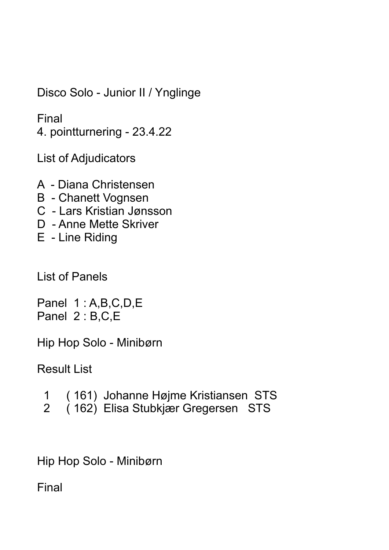Disco Solo - Junior II / Ynglinge

Final

4. pointturnering - 23.4.22

List of Adjudicators

- A Diana Christensen
- B Chanett Vognsen
- C Lars Kristian Jønsson
- D Anne Mette Skriver
- E Line Riding

List of Panels

Panel 1 : A,B,C,D,E Panel 2 : B,C,E

Hip Hop Solo - Minibørn

Result List

- 1 ( 161) Johanne Højme Kristiansen STS
- 2 ( 162) Elisa Stubkjær Gregersen STS

Hip Hop Solo - Minibørn

Final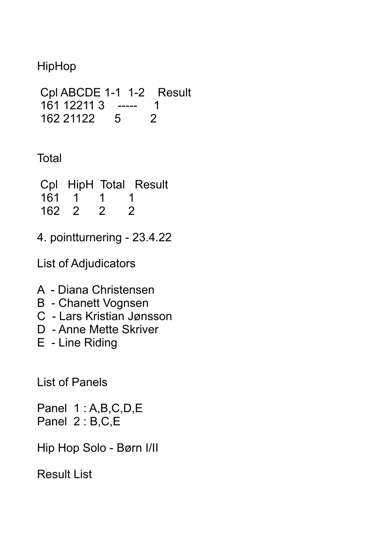# HipHop

```
 Cpl ABCDE 1-1 1-2 Result
161 12211 3 ----- 1 
162 21122 5 2
```
## **Total**

|       |           |                | Cpl HipH Total Result |
|-------|-----------|----------------|-----------------------|
|       | 161 1 1 1 |                |                       |
| 162 2 |           | $\overline{2}$ | $\overline{2}$        |

4. pointturnering - 23.4.22

List of Adjudicators

- A Diana Christensen
- B Chanett Vognsen
- C Lars Kristian Jønsson
- D Anne Mette Skriver
- E Line Riding

List of Panels

Panel 1 : A,B,C,D,E Panel 2 : B,C,E

Hip Hop Solo - Børn I/II

Result List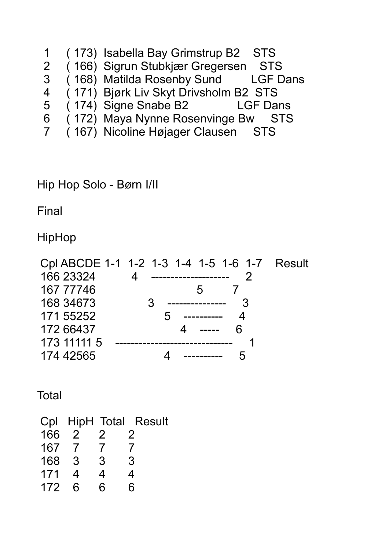- 1 (173) Isabella Bay Grimstrup B2 STS<br>2 (166) Sigrun Stubkjær Gregersen STS
- 
- 2 (166) Sigrun Stubkjær Gregersen STS<br>3 (168) Matilda Rosenby Sund LGF Dans (168) Matilda Rosenby Sund
- 4 ( 171) Bjørk Liv Skyt Drivsholm B2 STS
- 5 ( 174) Signe Snabe B2 LGF Dans
- 6 ( 172) Maya Nynne Rosenvinge Bw STS
- 7 ( 167) Nicoline Højager Clausen STS

### Hip Hop Solo - Børn I/II

Final

HipHop

|             | Cpl ABCDE 1-1 1-2 1-3 1-4 1-5 1-6 1-7 Result |
|-------------|----------------------------------------------|
| 166 23324   | _____________.                               |
| 167 77746   | $\mathbf{b}$                                 |
| 168 34673   | 3                                            |
| 171 55252   | 5                                            |
| 172 66437   |                                              |
| 173 11111 5 |                                              |
| 174 42565   |                                              |

**Total** 

|     |               |              | Cpl HipH Total Result |
|-----|---------------|--------------|-----------------------|
| 166 | $\mathcal{P}$ | $\mathcal P$ |                       |
| 167 | 7             | 7            | 7                     |
| 168 | -3            | 3            | 3                     |
| 171 | 4             | 4            | 4                     |
| 172 | 6             | հ            | հ                     |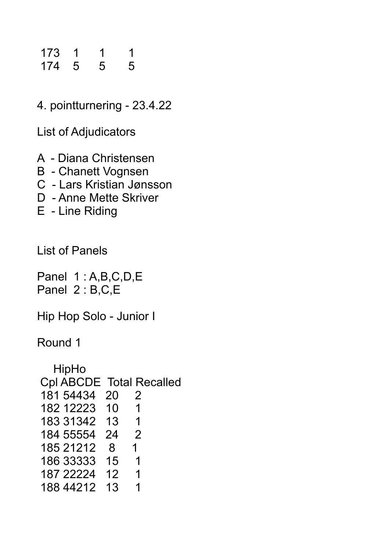### 173 1 1 1 174 5 5 5

4. pointturnering - 23.4.22

List of Adjudicators

- A Diana Christensen
- B Chanett Vognsen
- C Lars Kristian Jønsson
- D Anne Mette Skriver
- E Line Riding

List of Panels

Panel 1:A,B,C,D,E Panel 2 : B,C,E

Hip Hop Solo - Junior I

Round 1

| HipHo                           |    |               |
|---------------------------------|----|---------------|
| <b>Cpl ABCDE Total Recalled</b> |    |               |
| 181 54434                       | 20 | $\mathcal{P}$ |
| 182 12223                       | 10 | 1             |
| 183 31342                       | 13 | 1             |
| 184 55554                       | 24 | 2             |
| 185 21212                       | 8  | 1             |
| 186 33333                       | 15 | 1             |
| 187 22224                       | 12 | 1             |
| 188 44212                       | 13 |               |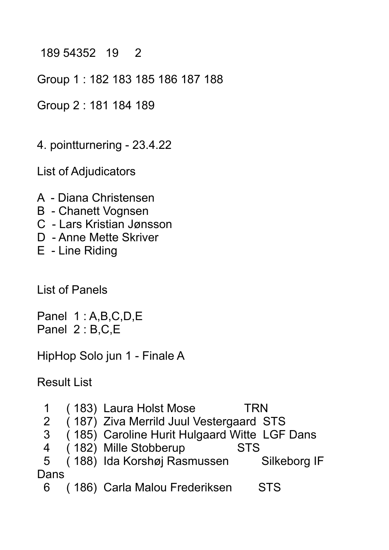#### 189 54352 19 2

Group 1 : 182 183 185 186 187 188

Group 2 : 181 184 189

4. pointturnering - 23.4.22

List of Adjudicators

- A Diana Christensen
- B Chanett Vognsen
- C Lars Kristian Jønsson
- D Anne Mette Skriver
- E Line Riding

List of Panels

Panel 1 : A,B,C,D,E Panel 2 : B,C,E

HipHop Solo jun 1 - Finale A

Result List

|                | (183) Laura Holst Mose                       | TRN          |
|----------------|----------------------------------------------|--------------|
| 2 <sup>1</sup> | (187) Ziva Merrild Juul Vestergaard STS      |              |
| 3              | (185) Caroline Hurit Hulgaard Witte LGF Dans |              |
| 4              | (182) Mille Stobberup                        | <b>STS</b>   |
| 5              | (188) Ida Korshøj Rasmussen                  | Silkeborg IF |
| Dans           |                                              |              |
| 6              | (186) Carla Malou Frederiksen                | <b>STS</b>   |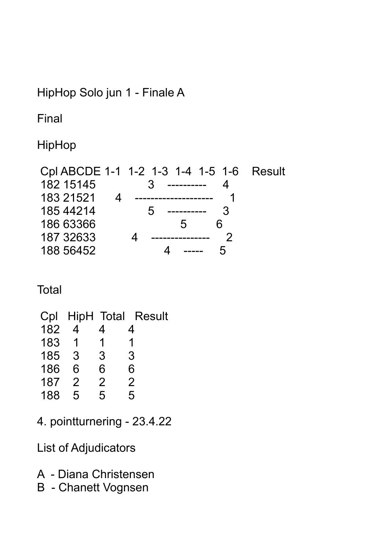## HipHop Solo jun 1 - Finale A

Final

HipHop

|           | Cpl ABCDE 1-1 1-2 1-3 1-4 1-5 1-6 Result |  |
|-----------|------------------------------------------|--|
| 182 15145 | 3 <sup>1</sup>                           |  |
| 183 21521 |                                          |  |
| 185 44214 | $\mathcal{D}$<br>-----------             |  |
| 186 63366 | $\mathbf{b}$                             |  |
| 187 32633 |                                          |  |
| 188 56452 | h                                        |  |

# **Total**

| 4             | 4             | 4                 |
|---------------|---------------|-------------------|
| 1             | $\mathbf 1$   |                   |
| 3             | 3             | 3                 |
| 6             | 6             | 6                 |
| $\mathcal{P}$ | $\mathcal{P}$ | $\overline{2}$    |
| 5             | 5             | 5                 |
|               |               | HipH Total Result |

4. pointturnering - 23.4.22

List of Adjudicators

- A Diana Christensen
- B Chanett Vognsen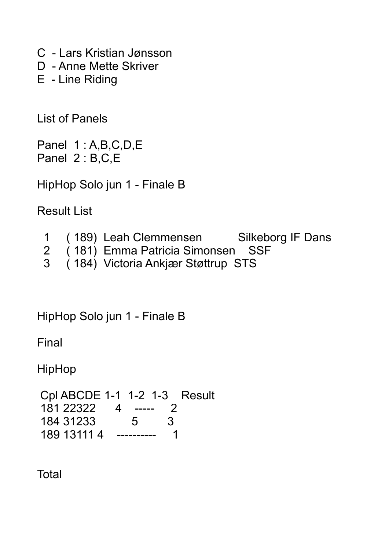C - Lars Kristian Jønsson

D - Anne Mette Skriver

E - Line Riding

List of Panels

Panel 1:A,B,C,D,E Panel 2 : B,C,E

HipHop Solo jun 1 - Finale B

Result List

| (189) Leah Clemmensen | <b>Silkeborg IF Dans</b> |
|-----------------------|--------------------------|
|                       |                          |

- 2 (181) Emma Patricia Simonsen SSF<br>3 (184) Victoria Ankiær Støttrup STS
- 3 ( 184) Victoria Ankjær Støttrup STS

HipHop Solo jun 1 - Finale B

Final

HipHop

 Cpl ABCDE 1-1 1-2 1-3 Result 181 22322 4 ----- 2 184 31233 5 3 189 13111 4 ---------- 1

**Total**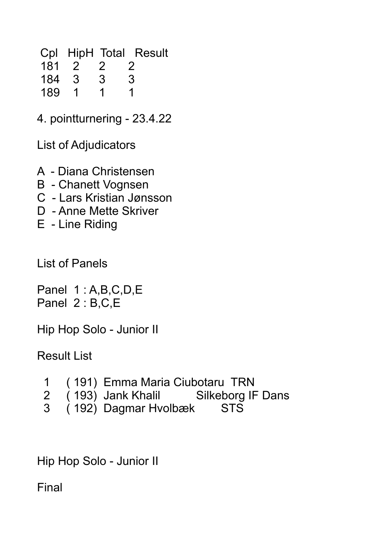Cpl HipH Total Result 181 2 2 2<br>184 3 3 3

 184 3 3 3 189 1 1 1

4. pointturnering - 23.4.22

List of Adjudicators

A - Diana Christensen

- B Chanett Vognsen
- C Lars Kristian Jønsson
- D Anne Mette Skriver
- E Line Riding

List of Panels

Panel 1 : A,B,C,D,E Panel 2 : B,C,E

Hip Hop Solo - Junior II

Result List

- 1 ( 191) Emma Maria Ciubotaru TRN
- (193) Jank Khalil Silkeborg IF Dans
- 3 ( 192) Dagmar Hvolbæk STS

Hip Hop Solo - Junior II

Final